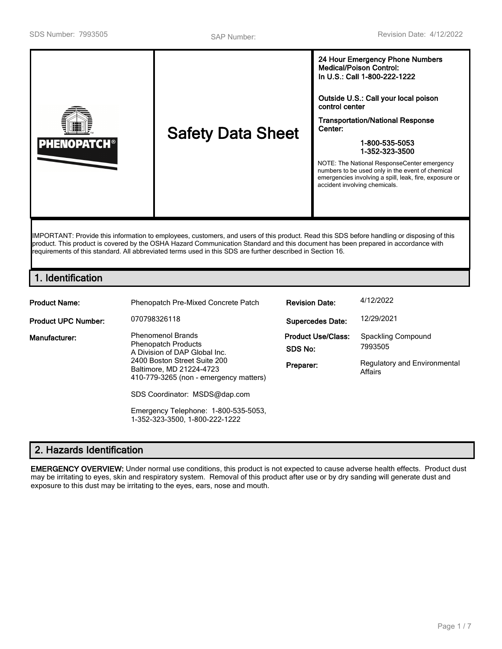

IMPORTANT: Provide this information to employees, customers, and users of this product. Read this SDS before handling or disposing of this product. This product is covered by the OSHA Hazard Communication Standard and this document has been prepared in accordance with requirements of this standard. All abbreviated terms used in this SDS are further described in Section 16.

# **1. Identification**

| <b>Product Name:</b>       | Phenopatch Pre-Mixed Concrete Patch                                                                                                                                                           | <b>Revision Date:</b>   | 4/12/2022                                                                |
|----------------------------|-----------------------------------------------------------------------------------------------------------------------------------------------------------------------------------------------|-------------------------|--------------------------------------------------------------------------|
| <b>Product UPC Number:</b> | 070798326118                                                                                                                                                                                  | <b>Supercedes Date:</b> | 12/29/2021                                                               |
| Manufacturer:              | <b>Phenomenol Brands</b><br><b>Phenopatch Products</b><br>A Division of DAP Global Inc.<br>2400 Boston Street Suite 200<br>Baltimore, MD 21224-4723<br>410-779-3265 (non - emergency matters) |                         | Spackling Compound<br>7993505<br>Regulatory and Environmental<br>Affairs |
|                            | SDS Coordinator: MSDS@dap.com<br>Emergency Telephone: 1-800-535-5053,<br>1-352-323-3500. 1-800-222-1222                                                                                       |                         |                                                                          |

# **2. Hazards Identification**

**EMERGENCY OVERVIEW:** Under normal use conditions, this product is not expected to cause adverse health effects. Product dust may be irritating to eyes, skin and respiratory system. Removal of this product after use or by dry sanding will generate dust and exposure to this dust may be irritating to the eyes, ears, nose and mouth.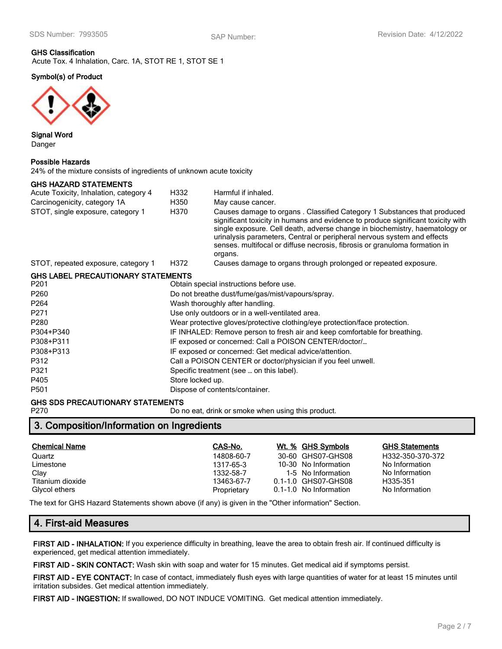# **GHS Classification** Acute Tox. 4 Inhalation, Carc. 1A, STOT RE 1, STOT SE 1

# **Symbol(s) of Product**



**Signal Word** Danger

#### **Possible Hazards**

24% of the mixture consists of ingredients of unknown acute toxicity

### **GHS HAZARD STATEMENTS**

| Acute Toxicity, Inhalation, category 4    | H332                                                                       | Harmful if inhaled.                                                                                                                                                                                                                                                                                                                                                                                            |  |  |
|-------------------------------------------|----------------------------------------------------------------------------|----------------------------------------------------------------------------------------------------------------------------------------------------------------------------------------------------------------------------------------------------------------------------------------------------------------------------------------------------------------------------------------------------------------|--|--|
| Carcinogenicity, category 1A              | H350                                                                       | May cause cancer.                                                                                                                                                                                                                                                                                                                                                                                              |  |  |
| STOT, single exposure, category 1         | H370                                                                       | Causes damage to organs. Classified Category 1 Substances that produced<br>significant toxicity in humans and evidence to produce significant toxicity with<br>single exposure. Cell death, adverse change in biochemistry, haematology or<br>urinalysis parameters, Central or peripheral nervous system and effects<br>senses. multifocal or diffuse necrosis, fibrosis or granuloma formation in<br>organs. |  |  |
| STOT, repeated exposure, category 1       | H372                                                                       | Causes damage to organs through prolonged or repeated exposure.                                                                                                                                                                                                                                                                                                                                                |  |  |
| <b>GHS LABEL PRECAUTIONARY STATEMENTS</b> |                                                                            |                                                                                                                                                                                                                                                                                                                                                                                                                |  |  |
| P201                                      |                                                                            | Obtain special instructions before use.                                                                                                                                                                                                                                                                                                                                                                        |  |  |
| P260                                      |                                                                            | Do not breathe dust/fume/gas/mist/vapours/spray.                                                                                                                                                                                                                                                                                                                                                               |  |  |
| P <sub>264</sub>                          | Wash thoroughly after handling.                                            |                                                                                                                                                                                                                                                                                                                                                                                                                |  |  |
| P271                                      | Use only outdoors or in a well-ventilated area.                            |                                                                                                                                                                                                                                                                                                                                                                                                                |  |  |
| P280                                      | Wear protective gloves/protective clothing/eye protection/face protection. |                                                                                                                                                                                                                                                                                                                                                                                                                |  |  |
| P304+P340                                 | IF INHALED: Remove person to fresh air and keep comfortable for breathing. |                                                                                                                                                                                                                                                                                                                                                                                                                |  |  |
| P308+P311                                 | IF exposed or concerned: Call a POISON CENTER/doctor/                      |                                                                                                                                                                                                                                                                                                                                                                                                                |  |  |
| P308+P313                                 | IF exposed or concerned: Get medical advice/attention.                     |                                                                                                                                                                                                                                                                                                                                                                                                                |  |  |
| P312                                      | Call a POISON CENTER or doctor/physician if you feel unwell.               |                                                                                                                                                                                                                                                                                                                                                                                                                |  |  |
| P321                                      | Specific treatment (see  on this label).                                   |                                                                                                                                                                                                                                                                                                                                                                                                                |  |  |
| P405                                      | Store locked up.                                                           |                                                                                                                                                                                                                                                                                                                                                                                                                |  |  |
| P501                                      |                                                                            | Dispose of contents/container.                                                                                                                                                                                                                                                                                                                                                                                 |  |  |
|                                           |                                                                            |                                                                                                                                                                                                                                                                                                                                                                                                                |  |  |

# **GHS SDS PRECAUTIONARY STATEMENTS**

P270 **Do no eat, drink or smoke when using this product.** Do no eat, drink or smoke when using this product.

# **3. Composition/Information on Ingredients**

| <b>Chemical Name</b> | CAS-No.     | Wt. % GHS Symbols      | <b>GHS Statements</b> |
|----------------------|-------------|------------------------|-----------------------|
| Quartz               | 14808-60-7  | 30-60 GHS07-GHS08      | H332-350-370-372      |
| Limestone            | 1317-65-3   | 10-30 No Information   | No Information        |
| Clay                 | 1332-58-7   | 1-5 No Information     | No Information        |
| Titanium dioxide     | 13463-67-7  | 0.1-1.0 GHS07-GHS08    | H335-351              |
| Glycol ethers        | Proprietary | 0.1-1.0 No Information | No Information        |

The text for GHS Hazard Statements shown above (if any) is given in the "Other information" Section.

# **4. First-aid Measures**

**FIRST AID - INHALATION:** If you experience difficulty in breathing, leave the area to obtain fresh air. If continued difficulty is experienced, get medical attention immediately.

**FIRST AID - SKIN CONTACT:** Wash skin with soap and water for 15 minutes. Get medical aid if symptoms persist.

**FIRST AID - EYE CONTACT:** In case of contact, immediately flush eyes with large quantities of water for at least 15 minutes until irritation subsides. Get medical attention immediately.

**FIRST AID - INGESTION:** If swallowed, DO NOT INDUCE VOMITING. Get medical attention immediately.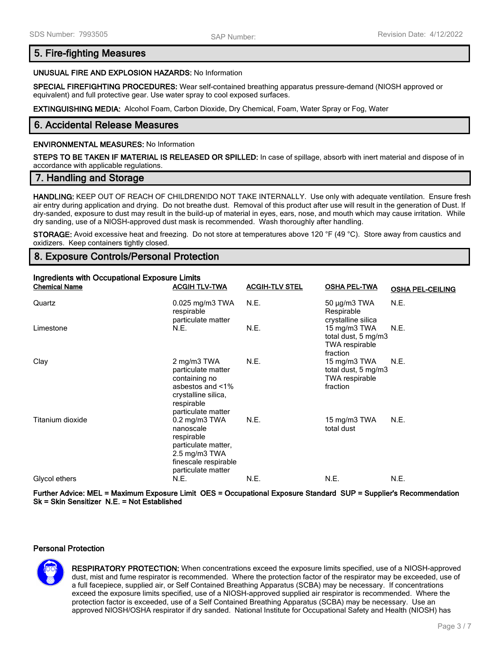## **5. Fire-fighting Measures**

#### **UNUSUAL FIRE AND EXPLOSION HAZARDS:** No Information

**SPECIAL FIREFIGHTING PROCEDURES:** Wear self-contained breathing apparatus pressure-demand (NIOSH approved or equivalent) and full protective gear. Use water spray to cool exposed surfaces.

**EXTINGUISHING MEDIA:** Alcohol Foam, Carbon Dioxide, Dry Chemical, Foam, Water Spray or Fog, Water

## **6. Accidental Release Measures**

#### **ENVIRONMENTAL MEASURES:** No Information

**STEPS TO BE TAKEN IF MATERIAL IS RELEASED OR SPILLED:** In case of spillage, absorb with inert material and dispose of in accordance with applicable regulations.

### **7. Handling and Storage**

**HANDLING:** KEEP OUT OF REACH OF CHILDREN!DO NOT TAKE INTERNALLY. Use only with adequate ventilation. Ensure fresh air entry during application and drying. Do not breathe dust. Removal of this product after use will result in the generation of Dust. If dry-sanded, exposure to dust may result in the build-up of material in eyes, ears, nose, and mouth which may cause irritation. While dry sanding, use of a NIOSH-approved dust mask is recommended. Wash thoroughly after handling.

**STORAGE:** Avoid excessive heat and freezing. Do not store at temperatures above 120 °F (49 °C). Store away from caustics and oxidizers. Keep containers tightly closed.

## **8. Exposure Controls/Personal Protection**

| <b>Ingredients with Occupational Exposure Limits</b> |                                                                                                                                                          |                       |                                                                          |                         |
|------------------------------------------------------|----------------------------------------------------------------------------------------------------------------------------------------------------------|-----------------------|--------------------------------------------------------------------------|-------------------------|
| <b>Chemical Name</b>                                 | <b>ACGIH TLV-TWA</b>                                                                                                                                     | <b>ACGIH-TLV STEL</b> | <b>OSHA PEL-TWA</b>                                                      | <b>OSHA PEL-CEILING</b> |
| Quartz                                               | $0.025$ mg/m3 TWA<br>respirable<br>particulate matter                                                                                                    | N.E.                  | $50 \mu g/m3$ TWA<br>Respirable<br>crystalline silica                    | N.E.                    |
| Limestone                                            | N.E.                                                                                                                                                     | N.E.                  | 15 mg/m3 TWA<br>total dust, 5 mg/m3<br><b>TWA respirable</b><br>fraction | N.E.                    |
| Clay                                                 | 2 mg/m3 TWA<br>particulate matter<br>containing no<br>asbestos and <1%<br>crystalline silica,<br>respirable<br>particulate matter                        | N.E.                  | 15 mg/m3 TWA<br>total dust, 5 mg/m3<br><b>TWA respirable</b><br>fraction | N.E.                    |
| Titanium dioxide                                     | $0.2$ mg/m $3$ TWA<br>nanoscale<br>respirable<br>particulate matter,<br>$2.5 \text{ mg/m}$ $3 \text{ TWA}$<br>finescale respirable<br>particulate matter | N.E.                  | 15 mg/m3 TWA<br>total dust                                               | N.E.                    |
| Glycol ethers                                        | N.E.                                                                                                                                                     | N.E.                  | N.E.                                                                     | N.E.                    |

**Further Advice: MEL = Maximum Exposure Limit OES = Occupational Exposure Standard SUP = Supplier's Recommendation Sk = Skin Sensitizer N.E. = Not Established**

#### **Personal Protection**



**RESPIRATORY PROTECTION:** When concentrations exceed the exposure limits specified, use of a NIOSH-approved dust, mist and fume respirator is recommended. Where the protection factor of the respirator may be exceeded, use of a full facepiece, supplied air, or Self Contained Breathing Apparatus (SCBA) may be necessary. If concentrations exceed the exposure limits specified, use of a NIOSH-approved supplied air respirator is recommended. Where the protection factor is exceeded, use of a Self Contained Breathing Apparatus (SCBA) may be necessary. Use an approved NIOSH/OSHA respirator if dry sanded. National Institute for Occupational Safety and Health (NIOSH) has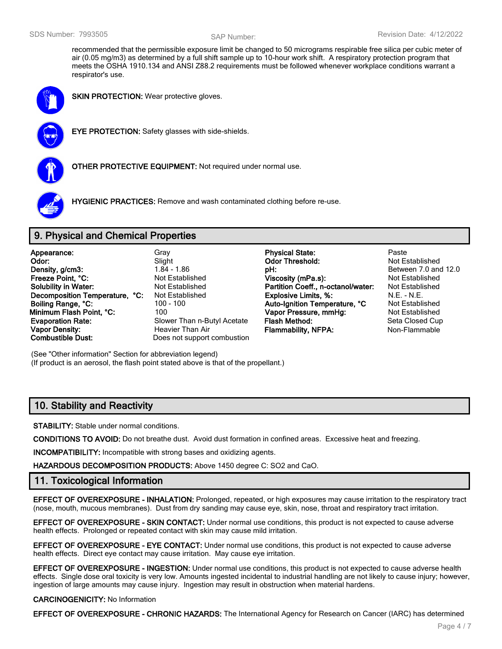recommended that the permissible exposure limit be changed to 50 micrograms respirable free silica per cubic meter of air (0.05 mg/m3) as determined by a full shift sample up to 10-hour work shift. A respiratory protection program that meets the OSHA 1910.134 and ANSI Z88.2 requirements must be followed whenever workplace conditions warrant a respirator's use.



**SKIN PROTECTION:** Wear protective gloves.



**EYE PROTECTION:** Safety glasses with side-shields.



**OTHER PROTECTIVE EQUIPMENT:** Not required under normal use.



**HYGIENIC PRACTICES:** Remove and wash contaminated clothing before re-use.

# **9. Physical and Chemical Properties**

| Appearance:                    | Gray                        |
|--------------------------------|-----------------------------|
| Odor:                          | Slight                      |
| Density, g/cm3:                | $1.84 - 1.86$               |
| Freeze Point, °C:              | <b>Not Established</b>      |
| <b>Solubility in Water:</b>    | Not Established             |
| Decomposition Temperature, °C: | <b>Not Established</b>      |
| Boiling Range, °C:             | 100 - 100                   |
| Minimum Flash Point, °C:       | 100                         |
| <b>Evaporation Rate:</b>       | Slower Than n-Butyl Acetate |
| <b>Vapor Density:</b>          | <b>Heavier Than Air</b>     |
| <b>Combustible Dust:</b>       | Does not support combustion |

- **Physical State:** Paste **Odor Threshold:** Not Established **pH: between** 7.0 and 12.0 **Freedige Point Preeze Control Control Press**<br>**Partition Coeff.. n-octanol/water:** Not Established **Partition Coeff., n-octanol/water: Explosive Limits, %:** N.E. - N.E.<br> **Auto-Ignition Temperature, °C** Not Established **Auto-Ignition Temperature, °C Vapor Pressure, mmHg:** Not Established **Flash Method:** Seta Closed Cup **Flammability, NFPA:** Non-Flammable
- 

(See "Other information" Section for abbreviation legend) (If product is an aerosol, the flash point stated above is that of the propellant.)

# **10. Stability and Reactivity**

**STABILITY:** Stable under normal conditions.

**CONDITIONS TO AVOID:** Do not breathe dust. Avoid dust formation in confined areas. Excessive heat and freezing.

**INCOMPATIBILITY:** Incompatible with strong bases and oxidizing agents.

**HAZARDOUS DECOMPOSITION PRODUCTS:** Above 1450 degree C: SO2 and CaO.

# **11. Toxicological Information**

**EFFECT OF OVEREXPOSURE - INHALATION:** Prolonged, repeated, or high exposures may cause irritation to the respiratory tract (nose, mouth, mucous membranes). Dust from dry sanding may cause eye, skin, nose, throat and respiratory tract irritation.

**EFFECT OF OVEREXPOSURE - SKIN CONTACT:** Under normal use conditions, this product is not expected to cause adverse health effects. Prolonged or repeated contact with skin may cause mild irritation.

**EFFECT OF OVEREXPOSURE - EYE CONTACT:** Under normal use conditions, this product is not expected to cause adverse health effects. Direct eye contact may cause irritation. May cause eye irritation.

**EFFECT OF OVEREXPOSURE - INGESTION:** Under normal use conditions, this product is not expected to cause adverse health effects. Single dose oral toxicity is very low. Amounts ingested incidental to industrial handling are not likely to cause injury; however, ingestion of large amounts may cause injury. Ingestion may result in obstruction when material hardens.

#### **CARCINOGENICITY:** No Information

**EFFECT OF OVEREXPOSURE - CHRONIC HAZARDS:** The International Agency for Research on Cancer (IARC) has determined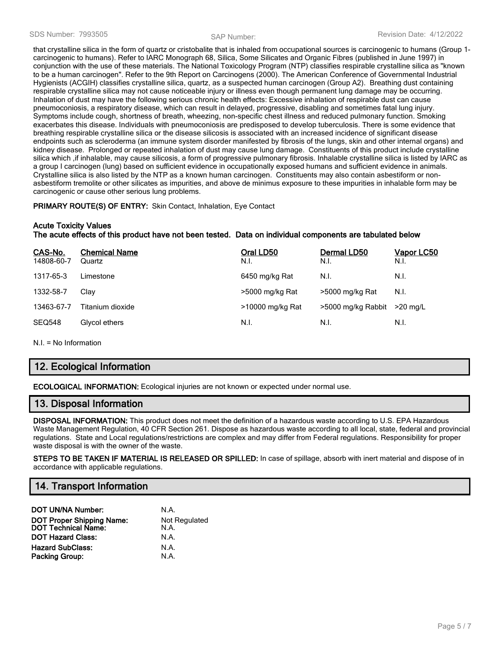that crystalline silica in the form of quartz or cristobalite that is inhaled from occupational sources is carcinogenic to humans (Group 1 carcinogenic to humans). Refer to IARC Monograph 68, Silica, Some Silicates and Organic Fibres (published in June 1997) in conjunction with the use of these materials. The National Toxicology Program (NTP) classifies respirable crystalline silica as "known to be a human carcinogen". Refer to the 9th Report on Carcinogens (2000). The American Conference of Governmental Industrial Hygienists (ACGIH) classifies crystalline silica, quartz, as a suspected human carcinogen (Group A2). Breathing dust containing respirable crystalline silica may not cause noticeable injury or illness even though permanent lung damage may be occurring. Inhalation of dust may have the following serious chronic health effects: Excessive inhalation of respirable dust can cause pneumoconiosis, a respiratory disease, which can result in delayed, progressive, disabling and sometimes fatal lung injury. Symptoms include cough, shortness of breath, wheezing, non-specific chest illness and reduced pulmonary function. Smoking exacerbates this disease. Individuals with pneumoconiosis are predisposed to develop tuberculosis. There is some evidence that breathing respirable crystalline silica or the disease silicosis is associated with an increased incidence of significant disease endpoints such as scleroderma (an immune system disorder manifested by fibrosis of the lungs, skin and other internal organs) and kidney disease. Prolonged or repeated inhalation of dust may cause lung damage. Constituents of this product include crystalline silica which ,if inhalable, may cause silicosis, a form of progressive pulmonary fibrosis. Inhalable crystalline silica is listed by IARC as a group I carcinogen (lung) based on sufficient evidence in occupationally exposed humans and sufficient evidence in animals. Crystalline silica is also listed by the NTP as a known human carcinogen. Constituents may also contain asbestiform or nonasbestiform tremolite or other silicates as impurities, and above de minimus exposure to these impurities in inhalable form may be carcinogenic or cause other serious lung problems.

**PRIMARY ROUTE(S) OF ENTRY:** Skin Contact, Inhalation, Eye Contact

## **Acute Toxicity Values**

**The acute effects of this product have not been tested. Data on individual components are tabulated below**

| CAS-No.<br>14808-60-7 | <b>Chemical Name</b><br>Quartz | Oral LD50<br>N.I. | Dermal LD50<br>N.I. | <b>Vapor LC50</b><br>N.I. |
|-----------------------|--------------------------------|-------------------|---------------------|---------------------------|
| 1317-65-3             | Limestone                      | 6450 mg/kg Rat    | N.I.                | N.I.                      |
| 1332-58-7             | Clav                           | >5000 mg/kg Rat   | >5000 mg/kg Rat     | N.I.                      |
| 13463-67-7            | Titanium dioxide               | >10000 mg/kg Rat  | >5000 mg/kg Rabbit  | $>$ 20 ma/L               |
| <b>SEQ548</b>         | Glycol ethers                  | N.I.              | N.I.                | N.I.                      |

N.I. = No Information

# **12. Ecological Information**

**ECOLOGICAL INFORMATION:** Ecological injuries are not known or expected under normal use.

## **13. Disposal Information**

**DISPOSAL INFORMATION:** This product does not meet the definition of a hazardous waste according to U.S. EPA Hazardous Waste Management Regulation, 40 CFR Section 261. Dispose as hazardous waste according to all local, state, federal and provincial regulations. State and Local regulations/restrictions are complex and may differ from Federal regulations. Responsibility for proper waste disposal is with the owner of the waste.

**STEPS TO BE TAKEN IF MATERIAL IS RELEASED OR SPILLED:** In case of spillage, absorb with inert material and dispose of in accordance with applicable regulations.

## **14. Transport Information**

| <b>DOT UN/NA Number:</b>                                       | N.A.                  |
|----------------------------------------------------------------|-----------------------|
| <b>DOT Proper Shipping Name:</b><br><b>DOT Technical Name:</b> | Not Regulated<br>N.A. |
| <b>DOT Hazard Class:</b>                                       | N.A.                  |
| <b>Hazard SubClass:</b>                                        | N.A.                  |
| <b>Packing Group:</b>                                          | N.A.                  |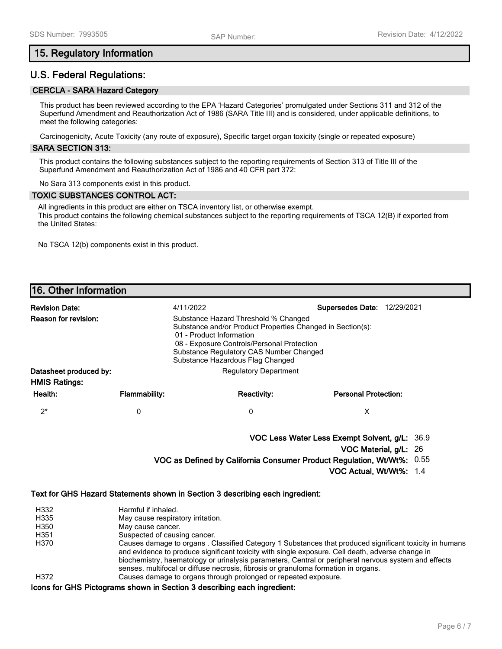## **15. Regulatory Information**

# **U.S. Federal Regulations:**

## **CERCLA - SARA Hazard Category**

This product has been reviewed according to the EPA 'Hazard Categories' promulgated under Sections 311 and 312 of the Superfund Amendment and Reauthorization Act of 1986 (SARA Title III) and is considered, under applicable definitions, to meet the following categories:

Carcinogenicity, Acute Toxicity (any route of exposure), Specific target organ toxicity (single or repeated exposure)

#### **SARA SECTION 313:**

This product contains the following substances subject to the reporting requirements of Section 313 of Title III of the Superfund Amendment and Reauthorization Act of 1986 and 40 CFR part 372:

No Sara 313 components exist in this product.

#### **TOXIC SUBSTANCES CONTROL ACT:**

All ingredients in this product are either on TSCA inventory list, or otherwise exempt. This product contains the following chemical substances subject to the reporting requirements of TSCA 12(B) if exported from the United States:

No TSCA 12(b) components exist in this product.

# **16. Other Information**

| <b>Revision Date:</b>                          |                      | 4/11/2022                                                                                                                                                                                                                                                   | <b>Supersedes Date:</b>     | 12/29/2021 |
|------------------------------------------------|----------------------|-------------------------------------------------------------------------------------------------------------------------------------------------------------------------------------------------------------------------------------------------------------|-----------------------------|------------|
| Reason for revision:                           |                      | Substance Hazard Threshold % Changed<br>Substance and/or Product Properties Changed in Section(s):<br>01 - Product Information<br>08 - Exposure Controls/Personal Protection<br>Substance Regulatory CAS Number Changed<br>Substance Hazardous Flag Changed |                             |            |
| Datasheet produced by:<br><b>HMIS Ratings:</b> |                      | <b>Regulatory Department</b>                                                                                                                                                                                                                                |                             |            |
| Health:                                        | <b>Flammability:</b> | <b>Reactivity:</b>                                                                                                                                                                                                                                          | <b>Personal Protection:</b> |            |
| $2^*$                                          | 0                    | 0                                                                                                                                                                                                                                                           | х                           |            |

**VOC Less Water Less Exempt Solvent, g/L:** 36.9

**VOC Material, g/L:** 26

**VOC as Defined by California Consumer Product Regulation, Wt/Wt%:** 0.55

**VOC Actual, Wt/Wt%:** 1.4

#### **Text for GHS Hazard Statements shown in Section 3 describing each ingredient:**

| H332 | Harmful if inhaled.                                                                                                                                                                                                                                                                                                |
|------|--------------------------------------------------------------------------------------------------------------------------------------------------------------------------------------------------------------------------------------------------------------------------------------------------------------------|
| H335 | May cause respiratory irritation.                                                                                                                                                                                                                                                                                  |
| H350 | May cause cancer.                                                                                                                                                                                                                                                                                                  |
| H351 | Suspected of causing cancer.                                                                                                                                                                                                                                                                                       |
| H370 | Causes damage to organs. Classified Category 1 Substances that produced significant toxicity in humans<br>and evidence to produce significant toxicity with single exposure. Cell death, adverse change in<br>biochemistry, haematology or urinalysis parameters, Central or peripheral nervous system and effects |
| H372 | senses. multifocal or diffuse necrosis, fibrosis or granuloma formation in organs.<br>Causes damage to organs through prolonged or repeated exposure.                                                                                                                                                              |

**Icons for GHS Pictograms shown in Section 3 describing each ingredient:**